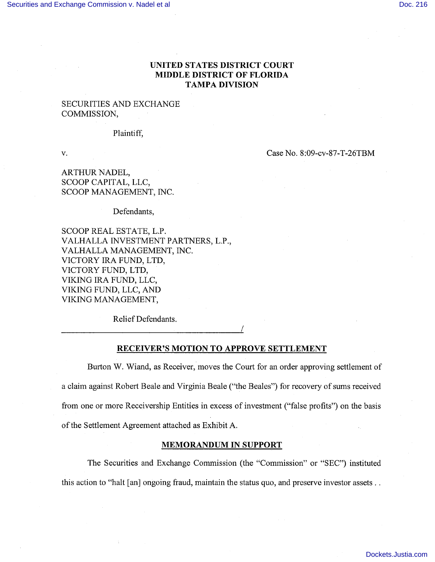# UNITED STATES DISTRICT COURT MIDDLE DISTRICT OF FLORIDA TAMPA DIVISION

## SECURITIES AND EXCHANGE COMMISSION,

#### Plaintiff,

v. Case No. 8:09-cv-87-T-26TBM

ARTHUR NADEL, SCOOP CAPITAL, LLC, SCOOP MANAGEMENT, INC.

Defendants,

SCOOP REAL ESTATE, L.P. VALHALLA INVESTMENT PARTNERS, L.P., VALHALLA MANAGEMENT, INC. VICTORY IRA FUND, LTD, VICTORY FUND, LTD, VIKING IRA FUND, LLC, VIKING FUND, LLC, AND VIKING MANAGEMENT,

Relief Defendants.

I

#### RECEIVER'S MOTION TO APPROVE SETTLEMENT

Burton W. Wiand, as Receiver, moves the Court for an order approving settlement of a claim against Robert Beale and Virginia Beale ("the Beales") for recovery of sums received from one or more Receivership Entities in excess of investment ("false profits") on the basis of the Settlement Agreement attached as Exhibit A.

### MEMORANDUM IN SUPPORT

The Securities and Exchange Commission (the "Commission" or "SEC") instituted this action to "halt [an] ongoing fraud, maintain the status quo, and preserve investor assets..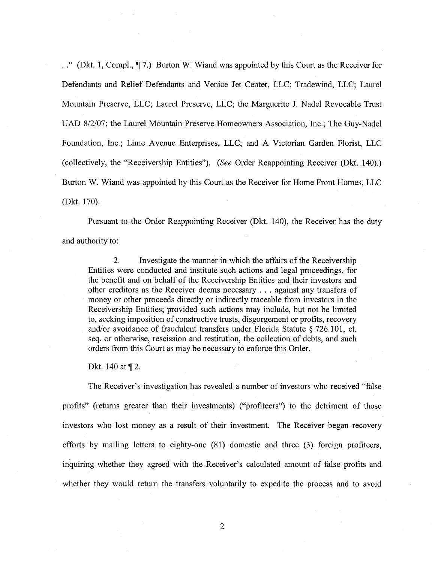. ." (Dkt. 1, Compl.,  $\P$  7.) Burton W. Wiand was appointed by this Court as the Receiver for Defendants and Relief Defendants and Venice Jet Center, LLC; Tradewind, LLC; Laurel Mountain Preserve, LLC; Laurel Preserve, LLC; the Marguerite J. Nadel Revocable Trust UAD 8/2/07; the Laurel Mountain Preserve Homeowners Association, Inc.; The Guy-Nadel Foundation, Inc.; Lime Avenue Enterprises, LLC; and A Victorian Garden Florist, LLC (collectively, the "Receivership Entities"). (See Order Reappointing Receiver (Dkt. 140).) Burton W. Wiand was appointed by this Court as the Receiver for Home Front Homes, LLC (Dkt. 170).

Pursuant to the Order Reappointing Receiver (Dkt. 140), the Receiver has the duty and authority to:

2. Investigate the manner in which the affairs of the Receivership Entities were conducted and institute such actions and legal proceedings, for the benefit and on behalf of the Receivership Entities and their investors and other creditors as the Receiver deems necessary. . . against any transfers of money or other proceeds directly or indirectly traceable from investors in the Receivership Entities; provided such actions may include, but not be limited to, seeking imposition of constructive trusts, disgorgement or profits, recovery and/or avoidance of fraudulent transfers under Florida Statute  $§$  726.101, et. seq. or otherwise, rescission and restitution, the collection of debts, and such orders from this Court as may be necessary to enforce this Order.

Dkt. 140 at  $\P$  2.

The Receiver's investigation has revealed a number of investors who received "false profits" (returns greater than their investments) ("profiteers") to the detriment of those investors who lost money as a result of their investment. The Receiver began recovery efforts by mailng letters to eighty-one (81) domestic and three (3) foreign profiteers, inquiring whether they agreed with the Receiver's calculated amount of false profits and whether they would return the transfers voluntarily to expedite the process and to avoid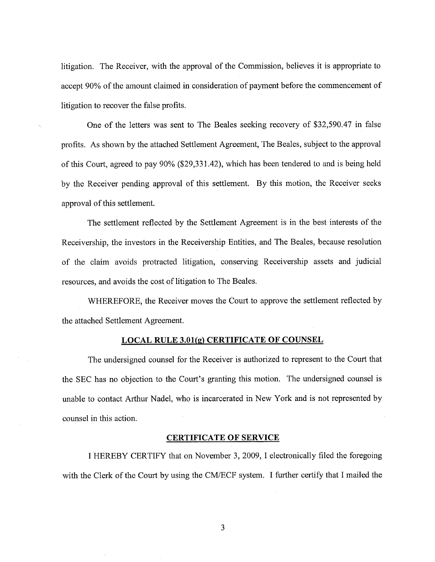litigation. The Receiver, with the approval of the Commission, believes it is appropriate to accept 90% of the amount claimed in consideration of payment before the commencement of litigation to recover the false profits.

One of the letters was sent to The Beales seeking recovery of \$32,590.47 in false profits. As shown by the attached Settlement Agreement, The Beales, subject to the approval of this Court, agreed to pay 90% (\$29,331.42), which has been tendered to and is being held by the Receiver pending approval of this settlement. By this motion, the Receiver seeks approval of this settlement.

The settlement reflected by the Settlement Agreement is in the best interests of the Receivership, the investors in the Receivership Entities, and The Beales, because resolution of the claim avoids protracted litigation, conserving Receivership assets and judicial resources, and avoids the cost of litigation to The Beales.

WHEREFORE, the Receiver moves the Court to approve the settlement reflected by the attached Settlement Agreement.

## LOCAL RULE 3.01(g) CERTIFICATE OF COUNSEL

The undersigned counsel for the Receiver is authorized to represent to the Court that the SEC has no objection to the Court's granting this motion. The undersigned counsel is unable to contact Arthur Nadel, who is incarcerated in New York and is not represented by counsel in this action.

### CERTIFICATE OF SERVICE

I HEREBY CERTIFY that on November 3, 2009, I electronically filed the foregoing with the Clerk of the Court by using the CM/ECF system. I further certify that I mailed the

3